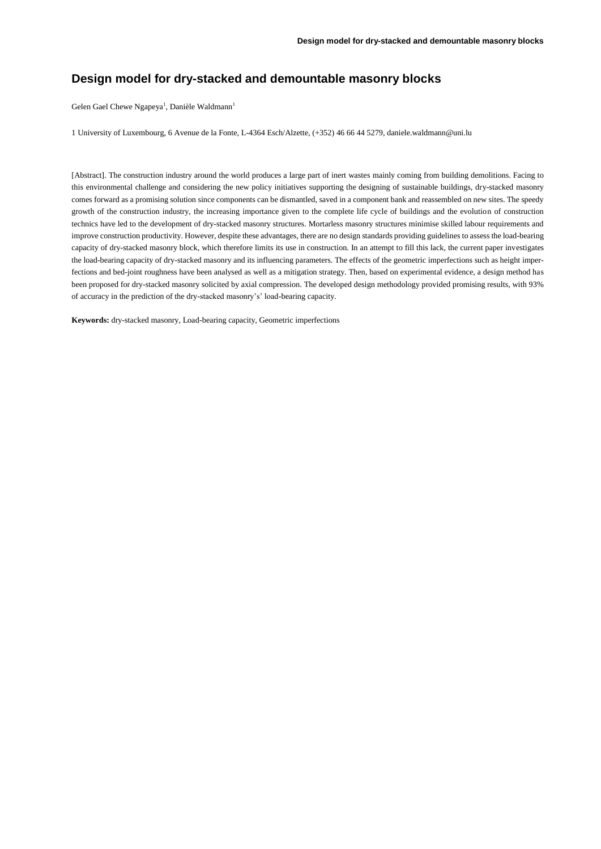# **Design model for dry-stacked and demountable masonry blocks**

Gelen Gael Chewe Ngapeya<sup>1</sup>, Danièle Waldmann<sup>1</sup>

1 University of Luxembourg, 6 Avenue de la Fonte, L-4364 Esch/Alzette, (+352) 46 66 44 5279[, daniele.waldmann@uni.lu](mailto:daniele.waldmann@uni.lu)

[Abstract]. The construction industry around the world produces a large part of inert wastes mainly coming from building demolitions. Facing to this environmental challenge and considering the new policy initiatives supporting the designing of sustainable buildings, dry-stacked masonry comes forward as a promising solution since components can be dismantled, saved in a component bank and reassembled on new sites. The speedy growth of the construction industry, the increasing importance given to the complete life cycle of buildings and the evolution of construction technics have led to the development of dry-stacked masonry structures. Mortarless masonry structures minimise skilled labour requirements and improve construction productivity. However, despite these advantages, there are no design standards providing guidelines to assess the load-bearing capacity of dry-stacked masonry block, which therefore limits its use in construction. In an attempt to fill this lack, the current paper investigates the load-bearing capacity of dry-stacked masonry and its influencing parameters. The effects of the geometric imperfections such as height imperfections and bed-joint roughness have been analysed as well as a mitigation strategy. Then, based on experimental evidence, a design method has been proposed for dry-stacked masonry solicited by axial compression. The developed design methodology provided promising results, with 93% of accuracy in the prediction of the dry-stacked masonry's' load-bearing capacity.

**Keywords:** dry-stacked masonry, Load-bearing capacity, Geometric imperfections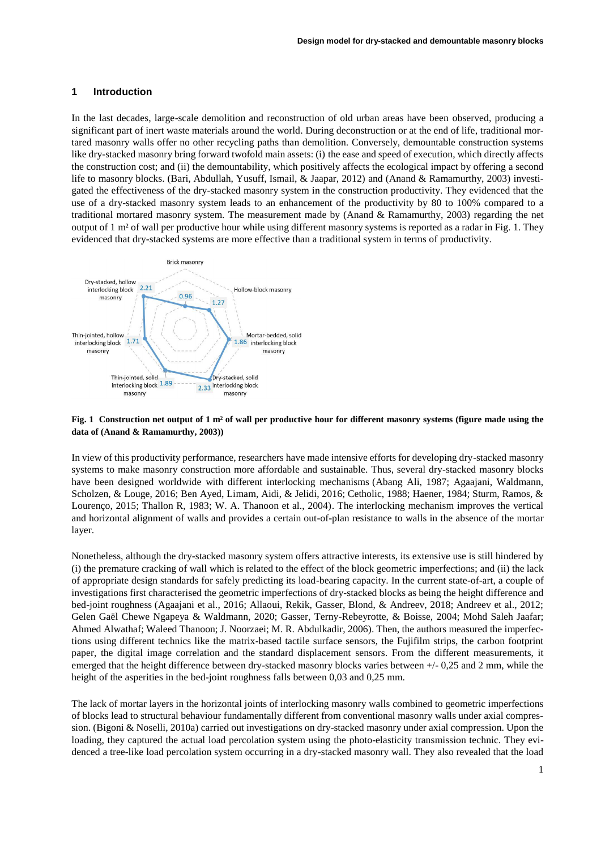#### **1 Introduction**

In the last decades, large-scale demolition and reconstruction of old urban areas have been observed, producing a significant part of inert waste materials around the world. During deconstruction or at the end of life, traditional mortared masonry walls offer no other recycling paths than demolition. Conversely, demountable construction systems like dry-stacked masonry bring forward twofold main assets: (i) the ease and speed of execution, which directly affects the construction cost; and (ii) the demountability, which positively affects the ecological impact by offering a second life to masonry blocks. (Bari, Abdullah, Yusuff, Ismail, & Jaapar, 2012) and (Anand & Ramamurthy, 2003) investigated the effectiveness of the dry-stacked masonry system in the construction productivity. They evidenced that the use of a dry-stacked masonry system leads to an enhancement of the productivity by 80 to 100% compared to a traditional mortared masonry system. The measurement made by (Anand & Ramamurthy, 2003) regarding the net output of 1 m² of wall per productive hour while using different masonry systems is reported as a radar in Fig. 1. They evidenced that dry-stacked systems are more effective than a traditional system in terms of productivity.



### **Fig. 1 Construction net output of 1 m² of wall per productive hour for different masonry systems (figure made using the data of (Anand & Ramamurthy, 2003))**

In view of this productivity performance, researchers have made intensive efforts for developing dry-stacked masonry systems to make masonry construction more affordable and sustainable. Thus, several dry-stacked masonry blocks have been designed worldwide with different interlocking mechanisms (Abang Ali, 1987; Agaajani, Waldmann, Scholzen, & Louge, 2016; Ben Ayed, Limam, Aidi, & Jelidi, 2016; Cetholic, 1988; Haener, 1984; Sturm, Ramos, & Lourenço, 2015; Thallon R, 1983; W. A. Thanoon et al., 2004). The interlocking mechanism improves the vertical and horizontal alignment of walls and provides a certain out-of-plan resistance to walls in the absence of the mortar layer.

Nonetheless, although the dry-stacked masonry system offers attractive interests, its extensive use is still hindered by (i) the premature cracking of wall which is related to the effect of the block geometric imperfections; and (ii) the lack of appropriate design standards for safely predicting its load-bearing capacity. In the current state-of-art, a couple of investigations first characterised the geometric imperfections of dry-stacked blocks as being the height difference and bed-joint roughness (Agaajani et al., 2016; Allaoui, Rekik, Gasser, Blond, & Andreev, 2018; Andreev et al., 2012; Gelen Gaël Chewe Ngapeya & Waldmann, 2020; Gasser, Terny-Rebeyrotte, & Boisse, 2004; Mohd Saleh Jaafar; Ahmed Alwathaf; Waleed Thanoon; J. Noorzaei; M. R. Abdulkadir, 2006). Then, the authors measured the imperfections using different technics like the matrix-based tactile surface sensors, the Fujifilm strips, the carbon footprint paper, the digital image correlation and the standard displacement sensors. From the different measurements, it emerged that the height difference between dry-stacked masonry blocks varies between +/- 0,25 and 2 mm, while the height of the asperities in the bed-joint roughness falls between 0,03 and 0,25 mm.

The lack of mortar layers in the horizontal joints of interlocking masonry walls combined to geometric imperfections of blocks lead to structural behaviour fundamentally different from conventional masonry walls under axial compression. (Bigoni & Noselli, 2010a) carried out investigations on dry-stacked masonry under axial compression. Upon the loading, they captured the actual load percolation system using the photo-elasticity transmission technic. They evidenced a tree-like load percolation system occurring in a dry-stacked masonry wall. They also revealed that the load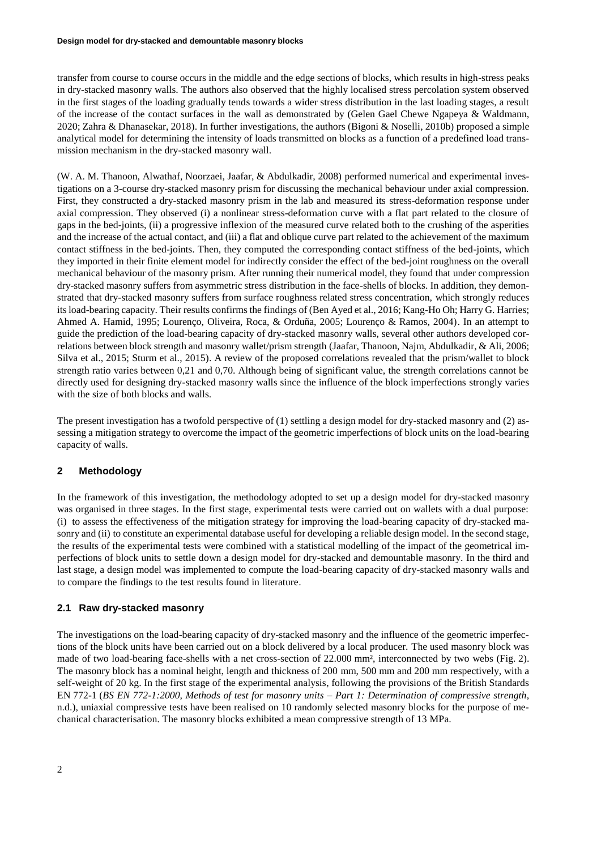transfer from course to course occurs in the middle and the edge sections of blocks, which results in high-stress peaks in dry-stacked masonry walls. The authors also observed that the highly localised stress percolation system observed in the first stages of the loading gradually tends towards a wider stress distribution in the last loading stages, a result of the increase of the contact surfaces in the wall as demonstrated by (Gelen Gael Chewe Ngapeya & Waldmann, 2020; Zahra & Dhanasekar, 2018). In further investigations, the authors (Bigoni & Noselli, 2010b) proposed a simple analytical model for determining the intensity of loads transmitted on blocks as a function of a predefined load transmission mechanism in the dry-stacked masonry wall.

(W. A. M. Thanoon, Alwathaf, Noorzaei, Jaafar, & Abdulkadir, 2008) performed numerical and experimental investigations on a 3-course dry-stacked masonry prism for discussing the mechanical behaviour under axial compression. First, they constructed a dry-stacked masonry prism in the lab and measured its stress-deformation response under axial compression. They observed (i) a nonlinear stress-deformation curve with a flat part related to the closure of gaps in the bed-joints, (ii) a progressive inflexion of the measured curve related both to the crushing of the asperities and the increase of the actual contact, and (iii) a flat and oblique curve part related to the achievement of the maximum contact stiffness in the bed-joints. Then, they computed the corresponding contact stiffness of the bed-joints, which they imported in their finite element model for indirectly consider the effect of the bed-joint roughness on the overall mechanical behaviour of the masonry prism. After running their numerical model, they found that under compression dry-stacked masonry suffers from asymmetric stress distribution in the face-shells of blocks. In addition, they demonstrated that dry-stacked masonry suffers from surface roughness related stress concentration, which strongly reduces itsload-bearing capacity. Their results confirms the findings of (Ben Ayed et al., 2016; Kang-Ho Oh; Harry G. Harries; Ahmed A. Hamid, 1995; Lourenço, Oliveira, Roca, & Orduña, 2005; Lourenço & Ramos, 2004). In an attempt to guide the prediction of the load-bearing capacity of dry-stacked masonry walls, several other authors developed correlations between block strength and masonry wallet/prism strength (Jaafar, Thanoon, Najm, Abdulkadir, & Ali, 2006; Silva et al., 2015; Sturm et al., 2015). A review of the proposed correlations revealed that the prism/wallet to block strength ratio varies between 0,21 and 0,70. Although being of significant value, the strength correlations cannot be directly used for designing dry-stacked masonry walls since the influence of the block imperfections strongly varies with the size of both blocks and walls.

The present investigation has a twofold perspective of (1) settling a design model for dry-stacked masonry and (2) assessing a mitigation strategy to overcome the impact of the geometric imperfections of block units on the load-bearing capacity of walls.

## **2 Methodology**

In the framework of this investigation, the methodology adopted to set up a design model for dry-stacked masonry was organised in three stages. In the first stage, experimental tests were carried out on wallets with a dual purpose: (i) to assess the effectiveness of the mitigation strategy for improving the load-bearing capacity of dry-stacked masonry and (ii) to constitute an experimental database useful for developing a reliable design model. In the second stage, the results of the experimental tests were combined with a statistical modelling of the impact of the geometrical imperfections of block units to settle down a design model for dry-stacked and demountable masonry. In the third and last stage, a design model was implemented to compute the load-bearing capacity of dry-stacked masonry walls and to compare the findings to the test results found in literature.

### **2.1 Raw dry-stacked masonry**

The investigations on the load-bearing capacity of dry-stacked masonry and the influence of the geometric imperfections of the block units have been carried out on a block delivered by a local producer. The used masonry block was made of two load-bearing face-shells with a net cross-section of 22.000 mm², interconnected by two webs (Fig. 2). The masonry block has a nominal height, length and thickness of 200 mm, 500 mm and 200 mm respectively, with a self-weight of 20 kg. In the first stage of the experimental analysis, following the provisions of the British Standards EN 772-1 (*BS EN 772-1:2000, Methods of test for masonry units – Part 1: Determination of compressive strength*, n.d.), uniaxial compressive tests have been realised on 10 randomly selected masonry blocks for the purpose of mechanical characterisation. The masonry blocks exhibited a mean compressive strength of 13 MPa.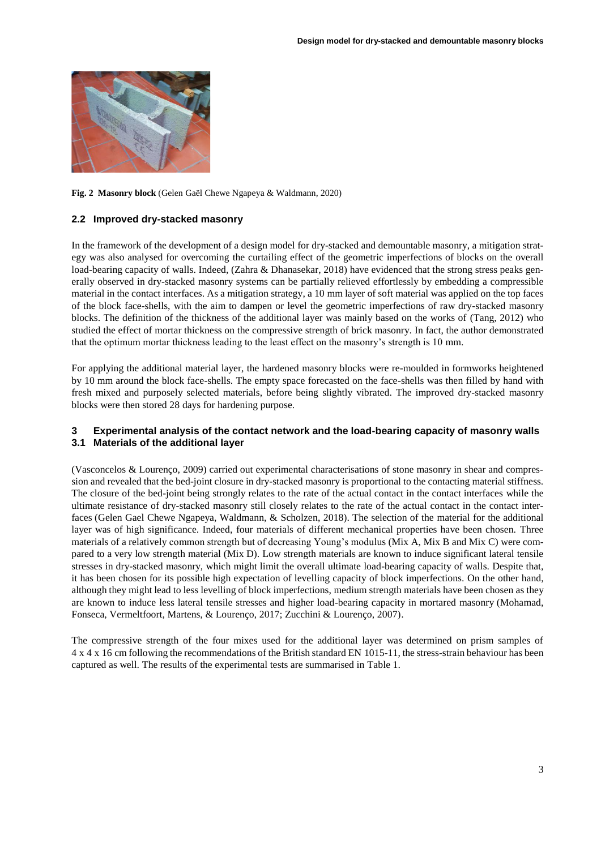

### **Fig. 2 Masonry block** (Gelen Gaël Chewe Ngapeya & Waldmann, 2020)

### **2.2 Improved dry-stacked masonry**

In the framework of the development of a design model for dry-stacked and demountable masonry, a mitigation strategy was also analysed for overcoming the curtailing effect of the geometric imperfections of blocks on the overall load-bearing capacity of walls. Indeed, (Zahra & Dhanasekar, 2018) have evidenced that the strong stress peaks generally observed in dry-stacked masonry systems can be partially relieved effortlessly by embedding a compressible material in the contact interfaces. As a mitigation strategy, a 10 mm layer of soft material was applied on the top faces of the block face-shells, with the aim to dampen or level the geometric imperfections of raw dry-stacked masonry blocks. The definition of the thickness of the additional layer was mainly based on the works of (Tang, 2012) who studied the effect of mortar thickness on the compressive strength of brick masonry. In fact, the author demonstrated that the optimum mortar thickness leading to the least effect on the masonry's strength is 10 mm.

For applying the additional material layer, the hardened masonry blocks were re-moulded in formworks heightened by 10 mm around the block face-shells. The empty space forecasted on the face-shells was then filled by hand with fresh mixed and purposely selected materials, before being slightly vibrated. The improved dry-stacked masonry blocks were then stored 28 days for hardening purpose.

### **3 Experimental analysis of the contact network and the load-bearing capacity of masonry walls 3.1 Materials of the additional layer**

(Vasconcelos & Lourenço, 2009) carried out experimental characterisations of stone masonry in shear and compression and revealed that the bed-joint closure in dry-stacked masonry is proportional to the contacting material stiffness. The closure of the bed-joint being strongly relates to the rate of the actual contact in the contact interfaces while the ultimate resistance of dry-stacked masonry still closely relates to the rate of the actual contact in the contact interfaces (Gelen Gael Chewe Ngapeya, Waldmann, & Scholzen, 2018). The selection of the material for the additional layer was of high significance. Indeed, four materials of different mechanical properties have been chosen. Three materials of a relatively common strength but of decreasing Young's modulus (Mix A, Mix B and Mix C) were compared to a very low strength material (Mix D). Low strength materials are known to induce significant lateral tensile stresses in dry-stacked masonry, which might limit the overall ultimate load-bearing capacity of walls. Despite that, it has been chosen for its possible high expectation of levelling capacity of block imperfections. On the other hand, although they might lead to less levelling of block imperfections, medium strength materials have been chosen as they are known to induce less lateral tensile stresses and higher load-bearing capacity in mortared masonry (Mohamad, Fonseca, Vermeltfoort, Martens, & Lourenço, 2017; Zucchini & Lourenço, 2007).

The compressive strength of the four mixes used for the additional layer was determined on prism samples of 4 x 4 x 16 cm following the recommendations of the British standard EN 1015-11, the stress-strain behaviour has been captured as well. The results of the experimental tests are summarised in Table 1.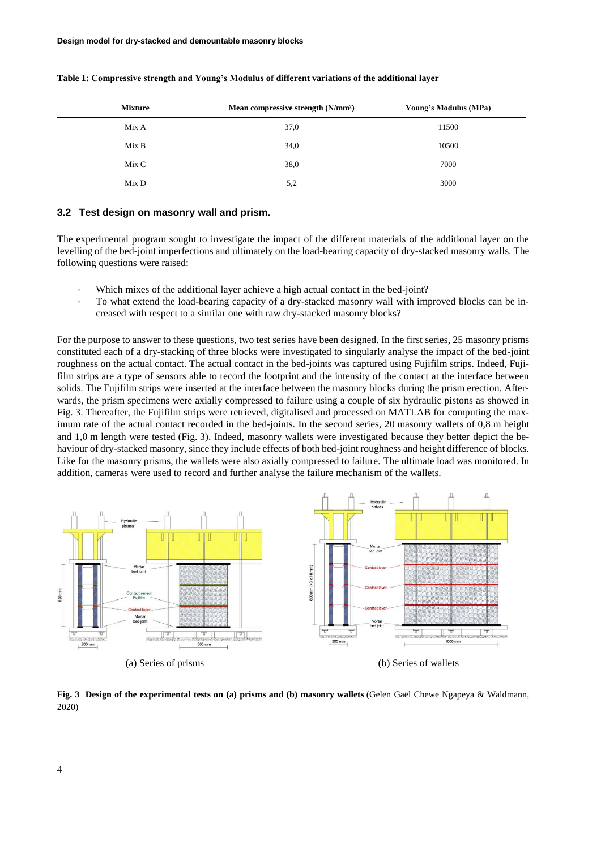| <b>Mixture</b> | Mean compressive strength (N/mm <sup>2</sup> ) | Young's Modulus (MPa) |
|----------------|------------------------------------------------|-----------------------|
| Mix A          | 37,0                                           | 11500                 |
| Mix B          | 34,0                                           | 10500                 |
| Mix C          | 38,0                                           | 7000                  |
| Mix D          | 5,2                                            | 3000                  |

#### **Table 1: Compressive strength and Young's Modulus of different variations of the additional layer**

#### **3.2 Test design on masonry wall and prism.**

The experimental program sought to investigate the impact of the different materials of the additional layer on the levelling of the bed-joint imperfections and ultimately on the load-bearing capacity of dry-stacked masonry walls. The following questions were raised:

- Which mixes of the additional layer achieve a high actual contact in the bed-joint?
- To what extend the load-bearing capacity of a dry-stacked masonry wall with improved blocks can be increased with respect to a similar one with raw dry-stacked masonry blocks?

For the purpose to answer to these questions, two test series have been designed. In the first series, 25 masonry prisms constituted each of a dry-stacking of three blocks were investigated to singularly analyse the impact of the bed-joint roughness on the actual contact. The actual contact in the bed-joints was captured using Fujifilm strips. Indeed, Fujifilm strips are a type of sensors able to record the footprint and the intensity of the contact at the interface between solids. The Fujifilm strips were inserted at the interface between the masonry blocks during the prism erection. Afterwards, the prism specimens were axially compressed to failure using a couple of six hydraulic pistons as showed in Fig. 3. Thereafter, the Fujifilm strips were retrieved, digitalised and processed on MATLAB for computing the maximum rate of the actual contact recorded in the bed-joints. In the second series, 20 masonry wallets of 0,8 m height and 1,0 m length were tested (Fig. 3). Indeed, masonry wallets were investigated because they better depict the behaviour of dry-stacked masonry, since they include effects of both bed-joint roughness and height difference of blocks. Like for the masonry prisms, the wallets were also axially compressed to failure. The ultimate load was monitored. In addition, cameras were used to record and further analyse the failure mechanism of the wallets.



**Fig. 3 Design of the experimental tests on (a) prisms and (b) masonry wallets** (Gelen Gaël Chewe Ngapeya & Waldmann, 2020)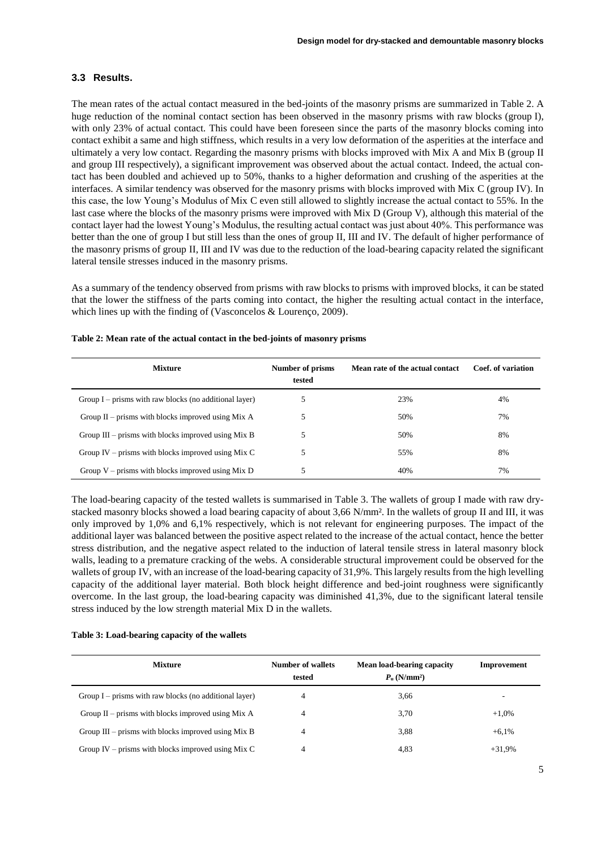### **3.3 Results.**

The mean rates of the actual contact measured in the bed-joints of the masonry prisms are summarized in Table 2. A huge reduction of the nominal contact section has been observed in the masonry prisms with raw blocks (group I), with only 23% of actual contact. This could have been foreseen since the parts of the masonry blocks coming into contact exhibit a same and high stiffness, which results in a very low deformation of the asperities at the interface and ultimately a very low contact. Regarding the masonry prisms with blocks improved with Mix A and Mix B (group II and group III respectively), a significant improvement was observed about the actual contact. Indeed, the actual contact has been doubled and achieved up to 50%, thanks to a higher deformation and crushing of the asperities at the interfaces. A similar tendency was observed for the masonry prisms with blocks improved with Mix C (group IV). In this case, the low Young's Modulus of Mix C even still allowed to slightly increase the actual contact to 55%. In the last case where the blocks of the masonry prisms were improved with Mix D (Group V), although this material of the contact layer had the lowest Young's Modulus, the resulting actual contact was just about 40%. This performance was better than the one of group I but still less than the ones of group II, III and IV. The default of higher performance of the masonry prisms of group II, III and IV was due to the reduction of the load-bearing capacity related the significant lateral tensile stresses induced in the masonry prisms.

As a summary of the tendency observed from prisms with raw blocks to prisms with improved blocks, it can be stated that the lower the stiffness of the parts coming into contact, the higher the resulting actual contact in the interface, which lines up with the finding of (Vasconcelos & Lourenço, 2009).

| <b>Mixture</b>                                           | Number of prisms<br>tested | Mean rate of the actual contact | Coef. of variation |
|----------------------------------------------------------|----------------------------|---------------------------------|--------------------|
| Group $I$ – prisms with raw blocks (no additional layer) |                            | 23%                             | 4%                 |
| Group $II$ – prisms with blocks improved using Mix A     |                            | 50%                             | 7%                 |
| Group $III$ – prisms with blocks improved using Mix B    |                            | 50%                             | 8%                 |
| Group IV – prisms with blocks improved using Mix C       |                            | 55%                             | 8%                 |
| Group $V$ – prisms with blocks improved using Mix D      |                            | 40%                             | 7%                 |

#### **Table 2: Mean rate of the actual contact in the bed-joints of masonry prisms**

The load-bearing capacity of the tested wallets is summarised in Table 3. The wallets of group I made with raw drystacked masonry blocks showed a load bearing capacity of about 3,66 N/mm². In the wallets of group II and III, it was only improved by 1,0% and 6,1% respectively, which is not relevant for engineering purposes. The impact of the additional layer was balanced between the positive aspect related to the increase of the actual contact, hence the better stress distribution, and the negative aspect related to the induction of lateral tensile stress in lateral masonry block walls, leading to a premature cracking of the webs. A considerable structural improvement could be observed for the wallets of group IV, with an increase of the load-bearing capacity of 31,9%. This largely results from the high levelling capacity of the additional layer material. Both block height difference and bed-joint roughness were significantly overcome. In the last group, the load-bearing capacity was diminished 41,3%, due to the significant lateral tensile stress induced by the low strength material Mix D in the wallets.

|  |  |  | Table 3: Load-bearing capacity of the wallets |  |  |
|--|--|--|-----------------------------------------------|--|--|
|--|--|--|-----------------------------------------------|--|--|

| <b>Mixture</b>                                           | <b>Number of wallets</b><br>tested | Mean load-bearing capacity<br>$P_n$ (N/mm <sup>2</sup> ) | Improvement              |
|----------------------------------------------------------|------------------------------------|----------------------------------------------------------|--------------------------|
| Group $I$ – prisms with raw blocks (no additional layer) |                                    | 3.66                                                     | $\overline{\phantom{a}}$ |
| Group $II$ – prisms with blocks improved using Mix A     |                                    | 3,70                                                     | $+1,0%$                  |
| Group $III$ – prisms with blocks improved using Mix B    |                                    | 3,88                                                     | $+6.1\%$                 |
| Group IV – prisms with blocks improved using Mix C       |                                    | 4,83                                                     | $+31.9%$                 |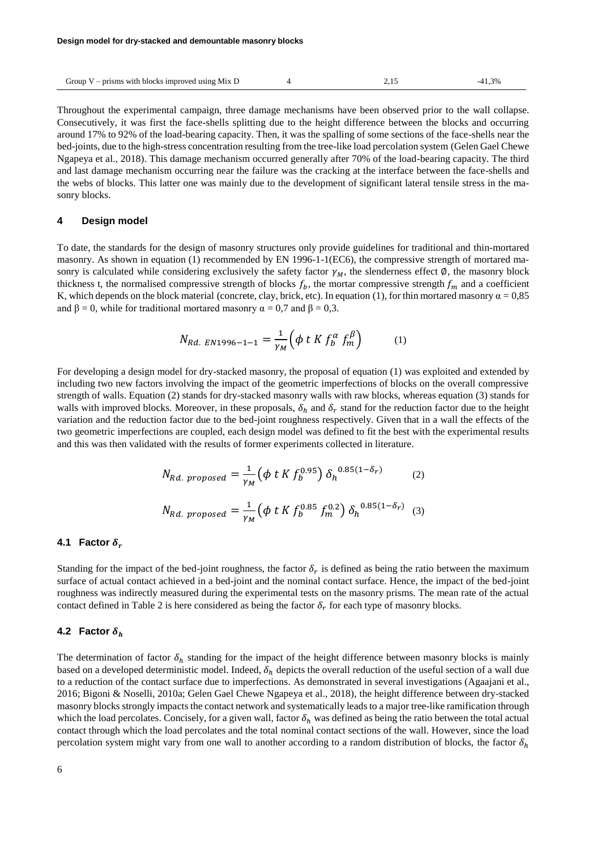| Group $V$ – prisms with blocks improved using Mix D |  |  |  |
|-----------------------------------------------------|--|--|--|
|-----------------------------------------------------|--|--|--|

Throughout the experimental campaign, three damage mechanisms have been observed prior to the wall collapse. Consecutively, it was first the face-shells splitting due to the height difference between the blocks and occurring around 17% to 92% of the load-bearing capacity. Then, it was the spalling of some sections of the face-shells near the bed-joints, due to the high-stress concentration resulting from the tree-like load percolation system (Gelen Gael Chewe Ngapeya et al., 2018). This damage mechanism occurred generally after 70% of the load-bearing capacity. The third and last damage mechanism occurring near the failure was the cracking at the interface between the face-shells and the webs of blocks. This latter one was mainly due to the development of significant lateral tensile stress in the masonry blocks.

#### **4 Design model**

To date, the standards for the design of masonry structures only provide guidelines for traditional and thin-mortared masonry. As shown in equation (1) recommended by EN 1996-1-1(EC6), the compressive strength of mortared masonry is calculated while considering exclusively the safety factor  $\gamma_M$ , the slenderness effect Ø, the masonry block thickness t, the normalised compressive strength of blocks  $f_b$ , the mortar compressive strength  $f_m$  and a coefficient K, which depends on the block material (concrete, clay, brick, etc). In equation (1), for thin mortared masonry  $\alpha = 0.85$ and  $\beta = 0$ , while for traditional mortared masonry  $\alpha = 0.7$  and  $\beta = 0.3$ .

$$
N_{Rd. EN1996-1-1} = \frac{1}{\gamma_M} \Big( \phi \ t \ K \ f_0^{\alpha} \ f_m^{\beta} \Big) \tag{1}
$$

For developing a design model for dry-stacked masonry, the proposal of equation (1) was exploited and extended by including two new factors involving the impact of the geometric imperfections of blocks on the overall compressive strength of walls. Equation (2) stands for dry-stacked masonry walls with raw blocks, whereas equation (3) stands for walls with improved blocks. Moreover, in these proposals,  $\delta_h$  and  $\delta_r$  stand for the reduction factor due to the height variation and the reduction factor due to the bed-joint roughness respectively. Given that in a wall the effects of the two geometric imperfections are coupled, each design model was defined to fit the best with the experimental results and this was then validated with the results of former experiments collected in literature.

$$
N_{Rd. \, proposed} = \frac{1}{\gamma_M} \left( \phi \ t \ K \ f_b^{0.95} \right) \delta_h^{0.85(1-\delta_r)} \tag{2}
$$

$$
N_{Rd. \, proposed} = \frac{1}{\gamma_M} \left( \phi \ t \ K \ f_b^{0.85} \ f_m^{0.2} \right) \delta_h^{0.85(1-\delta_r)} \tag{3}
$$

### **4.1 Factor**  $\delta_r$

Standing for the impact of the bed-joint roughness, the factor  $\delta_r$  is defined as being the ratio between the maximum surface of actual contact achieved in a bed-joint and the nominal contact surface. Hence, the impact of the bed-joint roughness was indirectly measured during the experimental tests on the masonry prisms. The mean rate of the actual contact defined in Table 2 is here considered as being the factor  $\delta_r$  for each type of masonry blocks.

#### **4.2 Factor**  $\delta_h$

The determination of factor  $\delta_h$  standing for the impact of the height difference between masonry blocks is mainly based on a developed deterministic model. Indeed,  $\delta_h$  depicts the overall reduction of the useful section of a wall due to a reduction of the contact surface due to imperfections. As demonstrated in several investigations (Agaajani et al., 2016; Bigoni & Noselli, 2010a; Gelen Gael Chewe Ngapeya et al., 2018), the height difference between dry-stacked masonry blocks strongly impacts the contact network and systematically leads to a major tree-like ramification through which the load percolates. Concisely, for a given wall, factor  $\delta_h$  was defined as being the ratio between the total actual contact through which the load percolates and the total nominal contact sections of the wall. However, since the load percolation system might vary from one wall to another according to a random distribution of blocks, the factor  $\delta_h$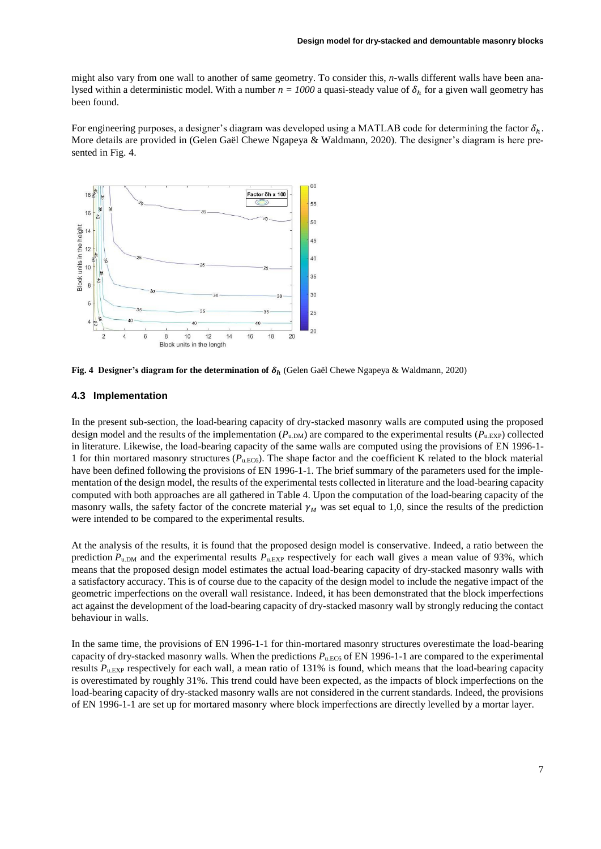might also vary from one wall to another of same geometry. To consider this, *n*-walls different walls have been analysed within a deterministic model. With a number  $n = 1000$  a quasi-steady value of  $\delta_h$  for a given wall geometry has been found.

For engineering purposes, a designer's diagram was developed using a MATLAB code for determining the factor  $\delta_h$ . More details are provided in (Gelen Gaël Chewe Ngapeya & Waldmann, 2020). The designer's diagram is here presented in Fig. 4.



**Fig. 4 Designer's diagram for the determination of**  $\delta_h$  **(Gelen Gaël Chewe Ngapeya & Waldmann, 2020)** 

#### **4.3 Implementation**

In the present sub-section, the load-bearing capacity of dry-stacked masonry walls are computed using the proposed design model and the results of the implementation  $(P_{\text{u,DM}})$  are compared to the experimental results  $(P_{\text{u,EXP}})$  collected in literature. Likewise, the load-bearing capacity of the same walls are computed using the provisions of EN 1996-1- 1 for thin mortared masonry structures  $(P_{u,EC6})$ . The shape factor and the coefficient K related to the block material have been defined following the provisions of EN 1996-1-1. The brief summary of the parameters used for the implementation of the design model, the results of the experimental tests collected in literature and the load-bearing capacity computed with both approaches are all gathered in Table 4. Upon the computation of the load-bearing capacity of the masonry walls, the safety factor of the concrete material  $\gamma_M$  was set equal to 1,0, since the results of the prediction were intended to be compared to the experimental results.

At the analysis of the results, it is found that the proposed design model is conservative. Indeed, a ratio between the prediction  $P_{\text{u,DM}}$  and the experimental results  $P_{\text{u,EXP}}$  respectively for each wall gives a mean value of 93%, which means that the proposed design model estimates the actual load-bearing capacity of dry-stacked masonry walls with a satisfactory accuracy. This is of course due to the capacity of the design model to include the negative impact of the geometric imperfections on the overall wall resistance. Indeed, it has been demonstrated that the block imperfections act against the development of the load-bearing capacity of dry-stacked masonry wall by strongly reducing the contact behaviour in walls.

In the same time, the provisions of EN 1996-1-1 for thin-mortared masonry structures overestimate the load-bearing capacity of dry-stacked masonry walls. When the predictions  $P_{u,EC6}$  of EN 1996-1-1 are compared to the experimental results  $P_{\text{u,EXP}}$  respectively for each wall, a mean ratio of 131% is found, which means that the load-bearing capacity is overestimated by roughly 31%. This trend could have been expected, as the impacts of block imperfections on the load-bearing capacity of dry-stacked masonry walls are not considered in the current standards. Indeed, the provisions of EN 1996-1-1 are set up for mortared masonry where block imperfections are directly levelled by a mortar layer.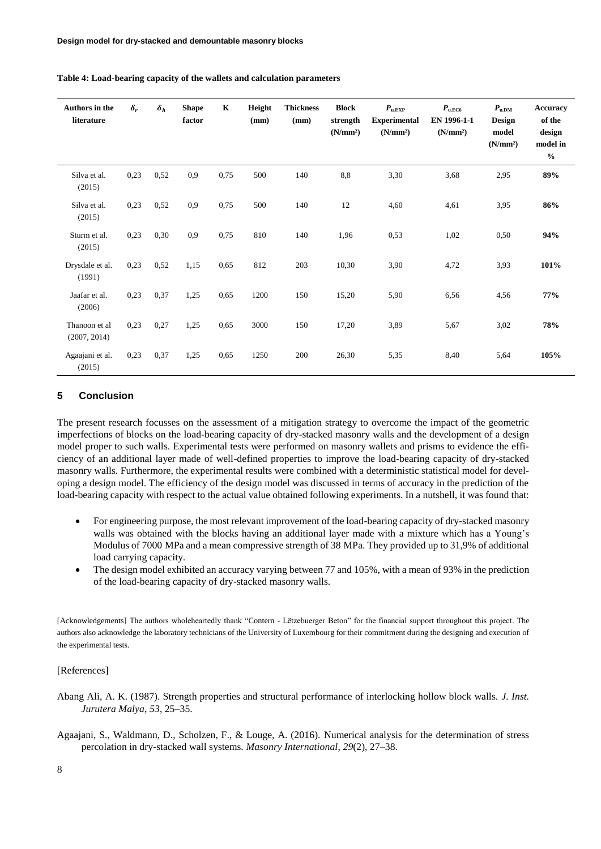| Authors in the<br>literature  | $\delta_r$ | $\delta_h$ | <b>Shape</b><br>factor | $\mathbf K$ | Height<br>(mm) | <b>Thickness</b><br>(mm) | <b>Block</b><br>strength<br>(N/mm <sup>2</sup> ) | $P_{\text{u,EXP}}$<br><b>Experimental</b><br>(N/mm <sup>2</sup> ) | $P_{\text{u.EC6}}$<br>EN 1996-1-1<br>(N/mm <sup>2</sup> ) | $P_{\text{u,DM}}$<br><b>Design</b><br>model<br>(N/mm <sup>2</sup> ) | <b>Accuracy</b><br>of the<br>design<br>model in<br>$\frac{0}{0}$ |
|-------------------------------|------------|------------|------------------------|-------------|----------------|--------------------------|--------------------------------------------------|-------------------------------------------------------------------|-----------------------------------------------------------|---------------------------------------------------------------------|------------------------------------------------------------------|
| Silva et al.<br>(2015)        | 0,23       | 0,52       | 0,9                    | 0,75        | 500            | 140                      | 8,8                                              | 3,30                                                              | 3,68                                                      | 2,95                                                                | 89%                                                              |
| Silva et al.<br>(2015)        | 0,23       | 0,52       | 0,9                    | 0,75        | 500            | 140                      | 12                                               | 4,60                                                              | 4,61                                                      | 3,95                                                                | 86%                                                              |
| Sturm et al.<br>(2015)        | 0,23       | 0,30       | 0,9                    | 0,75        | 810            | 140                      | 1,96                                             | 0,53                                                              | 1,02                                                      | 0,50                                                                | 94%                                                              |
| Drysdale et al.<br>(1991)     | 0,23       | 0,52       | 1,15                   | 0,65        | 812            | 203                      | 10,30                                            | 3,90                                                              | 4,72                                                      | 3,93                                                                | 101%                                                             |
| Jaafar et al.<br>(2006)       | 0,23       | 0,37       | 1,25                   | 0,65        | 1200           | 150                      | 15,20                                            | 5,90                                                              | 6,56                                                      | 4,56                                                                | 77%                                                              |
| Thanoon et al<br>(2007, 2014) | 0,23       | 0,27       | 1,25                   | 0,65        | 3000           | 150                      | 17,20                                            | 3,89                                                              | 5,67                                                      | 3,02                                                                | 78%                                                              |
| Agaajani et al.<br>(2015)     | 0,23       | 0,37       | 1,25                   | 0,65        | 1250           | 200                      | 26,30                                            | 5,35                                                              | 8,40                                                      | 5,64                                                                | 105%                                                             |

**Table 4: Load-bearing capacity of the wallets and calculation parameters**

### **5 Conclusion**

The present research focusses on the assessment of a mitigation strategy to overcome the impact of the geometric imperfections of blocks on the load-bearing capacity of dry-stacked masonry walls and the development of a design model proper to such walls. Experimental tests were performed on masonry wallets and prisms to evidence the efficiency of an additional layer made of well-defined properties to improve the load-bearing capacity of dry-stacked masonry walls. Furthermore, the experimental results were combined with a deterministic statistical model for developing a design model. The efficiency of the design model was discussed in terms of accuracy in the prediction of the load-bearing capacity with respect to the actual value obtained following experiments. In a nutshell, it was found that:

- For engineering purpose, the most relevant improvement of the load-bearing capacity of dry-stacked masonry walls was obtained with the blocks having an additional layer made with a mixture which has a Young's Modulus of 7000 MPa and a mean compressive strength of 38 MPa. They provided up to 31,9% of additional load carrying capacity.
- The design model exhibited an accuracy varying between 77 and 105%, with a mean of 93% in the prediction of the load-bearing capacity of dry-stacked masonry walls.

[Acknowledgements] The authors wholeheartedly thank "Contern - Lëtzebuerger Beton" for the financial support throughout this project. The authors also acknowledge the laboratory technicians of the University of Luxembourg for their commitment during the designing and execution of the experimental tests.

### [References]

- Abang Ali, A. K. (1987). Strength properties and structural performance of interlocking hollow block walls. *J. Inst. Jurutera Malya*, *53*, 25–35.
- Agaajani, S., Waldmann, D., Scholzen, F., & Louge, A. (2016). Numerical analysis for the determination of stress percolation in dry-stacked wall systems. *Masonry International*, *29*(2), 27–38.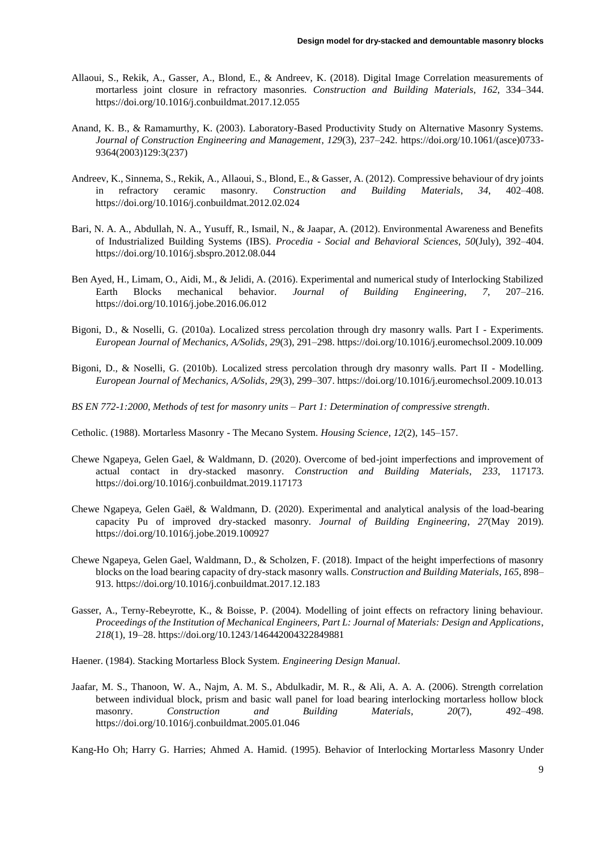- Allaoui, S., Rekik, A., Gasser, A., Blond, E., & Andreev, K. (2018). Digital Image Correlation measurements of mortarless joint closure in refractory masonries. *Construction and Building Materials*, *162*, 334–344. https://doi.org/10.1016/j.conbuildmat.2017.12.055
- Anand, K. B., & Ramamurthy, K. (2003). Laboratory-Based Productivity Study on Alternative Masonry Systems. *Journal of Construction Engineering and Management*, *129*(3), 237–242. https://doi.org/10.1061/(asce)0733- 9364(2003)129:3(237)
- Andreev, K., Sinnema, S., Rekik, A., Allaoui, S., Blond, E., & Gasser, A. (2012). Compressive behaviour of dry joints in refractory ceramic masonry. *Construction and Building Materials*, *34*, 402–408. https://doi.org/10.1016/j.conbuildmat.2012.02.024
- Bari, N. A. A., Abdullah, N. A., Yusuff, R., Ismail, N., & Jaapar, A. (2012). Environmental Awareness and Benefits of Industrialized Building Systems (IBS). *Procedia - Social and Behavioral Sciences*, *50*(July), 392–404. https://doi.org/10.1016/j.sbspro.2012.08.044
- Ben Ayed, H., Limam, O., Aidi, M., & Jelidi, A. (2016). Experimental and numerical study of Interlocking Stabilized Earth Blocks mechanical behavior. *Journal of Building Engineering*, *7*, 207–216. https://doi.org/10.1016/j.jobe.2016.06.012
- Bigoni, D., & Noselli, G. (2010a). Localized stress percolation through dry masonry walls. Part I Experiments. *European Journal of Mechanics, A/Solids*, *29*(3), 291–298. https://doi.org/10.1016/j.euromechsol.2009.10.009
- Bigoni, D., & Noselli, G. (2010b). Localized stress percolation through dry masonry walls. Part II Modelling. *European Journal of Mechanics, A/Solids*, *29*(3), 299–307. https://doi.org/10.1016/j.euromechsol.2009.10.013
- *BS EN 772-1:2000, Methods of test for masonry units – Part 1: Determination of compressive strength*.
- Cetholic. (1988). Mortarless Masonry The Mecano System. *Housing Science*, *12*(2), 145–157.
- Chewe Ngapeya, Gelen Gael, & Waldmann, D. (2020). Overcome of bed-joint imperfections and improvement of actual contact in dry-stacked masonry. *Construction and Building Materials*, *233*, 117173. https://doi.org/10.1016/j.conbuildmat.2019.117173
- Chewe Ngapeya, Gelen Gaël, & Waldmann, D. (2020). Experimental and analytical analysis of the load-bearing capacity Pu of improved dry-stacked masonry. *Journal of Building Engineering*, *27*(May 2019). https://doi.org/10.1016/j.jobe.2019.100927
- Chewe Ngapeya, Gelen Gael, Waldmann, D., & Scholzen, F. (2018). Impact of the height imperfections of masonry blocks on the load bearing capacity of dry-stack masonry walls. *Construction and Building Materials*, *165*, 898– 913. https://doi.org/10.1016/j.conbuildmat.2017.12.183
- Gasser, A., Terny-Rebeyrotte, K., & Boisse, P. (2004). Modelling of joint effects on refractory lining behaviour. *Proceedings of the Institution of Mechanical Engineers, Part L: Journal of Materials: Design and Applications*, *218*(1), 19–28. https://doi.org/10.1243/146442004322849881

Haener. (1984). Stacking Mortarless Block System. *Engineering Design Manual*.

Jaafar, M. S., Thanoon, W. A., Najm, A. M. S., Abdulkadir, M. R., & Ali, A. A. A. (2006). Strength correlation between individual block, prism and basic wall panel for load bearing interlocking mortarless hollow block masonry. *Construction and Building Materials*, *20*(7), 492–498. https://doi.org/10.1016/j.conbuildmat.2005.01.046

Kang-Ho Oh; Harry G. Harries; Ahmed A. Hamid. (1995). Behavior of Interlocking Mortarless Masonry Under